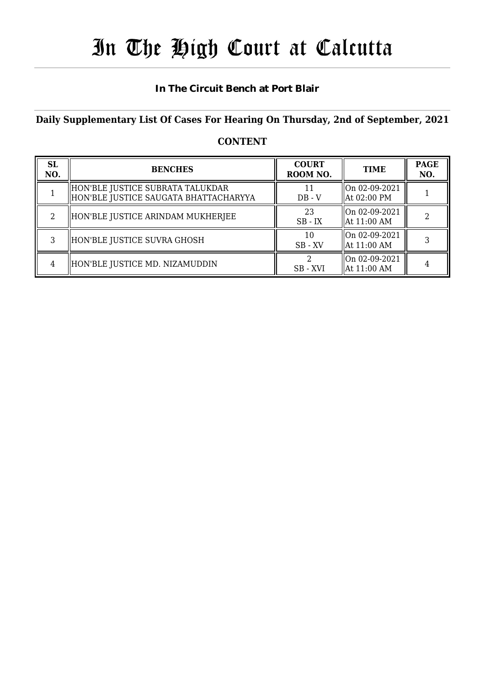# In The High Court at Calcutta

#### **In The Circuit Bench at Port Blair**

#### **Daily Supplementary List Of Cases For Hearing On Thursday, 2nd of September, 2021**

### **CONTENT**

| <b>SL</b><br>NO. | <b>BENCHES</b>                                                              | <b>COURT</b><br>ROOM NO. | <b>TIME</b>                    | <b>PAGE</b><br>NO. |
|------------------|-----------------------------------------------------------------------------|--------------------------|--------------------------------|--------------------|
|                  | HON'BLE JUSTICE SUBRATA TALUKDAR<br>  HON'BLE JUSTICE SAUGATA BHATTACHARYYA | 11<br>$DB - V$           | On 02-09-2021<br>At 02:00 PM   |                    |
|                  | HON'BLE JUSTICE ARINDAM MUKHERJEE                                           | 23<br>$SB$ - $IX$        | On 02-09-2021<br>At $11:00$ AM |                    |
|                  | HON'BLE JUSTICE SUVRA GHOSH                                                 | 10<br>$SB$ - $XV$        | On 02-09-2021<br>At 11:00 AM   |                    |
| 4                | HON'BLE JUSTICE MD. NIZAMUDDIN                                              | SB-XVI                   | On 02-09-2021<br>At 11:00 AM   |                    |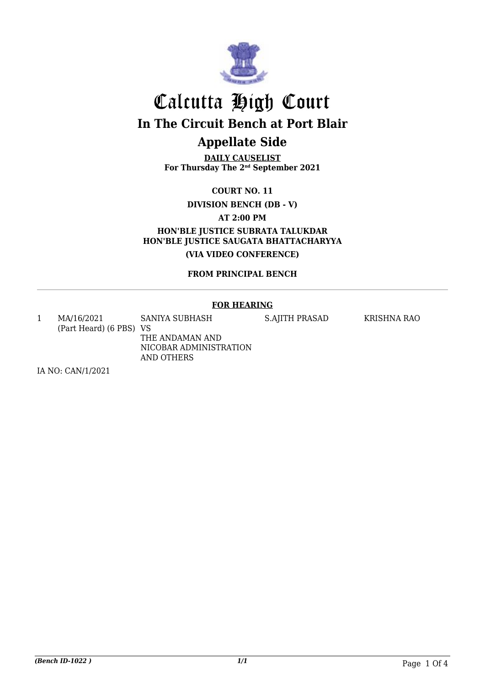

**DAILY CAUSELIST For Thursday The 2nd September 2021**

**COURT NO. 11**

**DIVISION BENCH (DB - V)**

**AT 2:00 PM**

**HON'BLE JUSTICE SUBRATA TALUKDAR HON'BLE JUSTICE SAUGATA BHATTACHARYYA (VIA VIDEO CONFERENCE)**

**FROM PRINCIPAL BENCH**

#### **FOR HEARING**

1 MA/16/2021 (Part Heard) (6 PBS) VS SANIYA SUBHASH THE ANDAMAN AND NICOBAR ADMINISTRATION

AND OTHERS

S.AJITH PRASAD KRISHNA RAO

IA NO: CAN/1/2021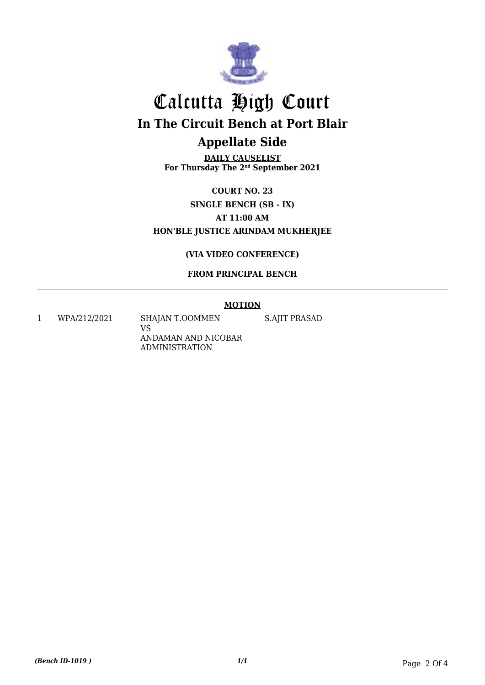

**DAILY CAUSELIST For Thursday The 2nd September 2021**

**COURT NO. 23 SINGLE BENCH (SB - IX) AT 11:00 AM HON'BLE JUSTICE ARINDAM MUKHERJEE**

#### **(VIA VIDEO CONFERENCE)**

#### **FROM PRINCIPAL BENCH**

#### **MOTION**

1 WPA/212/2021 SHAJAN T.OOMMEN VS ANDAMAN AND NICOBAR ADMINISTRATION

S.AJIT PRASAD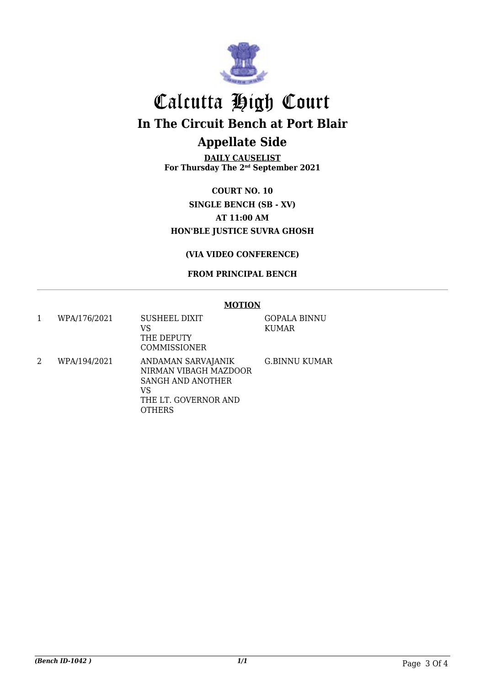

**DAILY CAUSELIST For Thursday The 2nd September 2021**

**COURT NO. 10 SINGLE BENCH (SB - XV) AT 11:00 AM HON'BLE JUSTICE SUVRA GHOSH**

#### **(VIA VIDEO CONFERENCE)**

#### **FROM PRINCIPAL BENCH**

#### **MOTION**

1 WPA/176/2021 SUSHEEL DIXIT VS THE DEPUTY COMMISSIONER GOPALA BINNU KUMAR 2 WPA/194/2021 ANDAMAN SARVAJANIK NIRMAN VIBAGH MAZDOOR SANGH AND ANOTHER VS THE LT. GOVERNOR AND **OTHERS** G.BINNU KUMAR